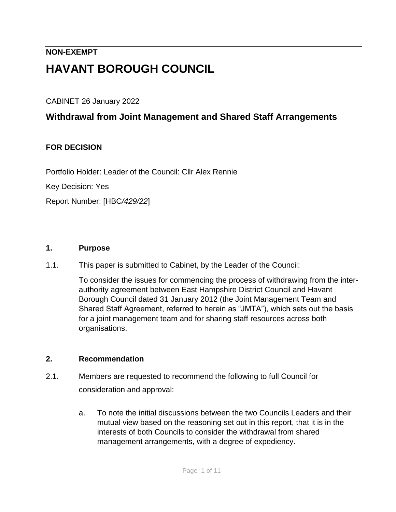# **NON-EXEMPT HAVANT BOROUGH COUNCIL**

CABINET 26 January 2022

## **Withdrawal from Joint Management and Shared Staff Arrangements**

## **FOR DECISION**

Portfolio Holder: Leader of the Council: Cllr Alex Rennie

Key Decision: Yes

Report Number: [HBC*/429/22*]

#### **1. Purpose**

1.1. This paper is submitted to Cabinet, by the Leader of the Council:

To consider the issues for commencing the process of withdrawing from the interauthority agreement between East Hampshire District Council and Havant Borough Council dated 31 January 2012 (the Joint Management Team and Shared Staff Agreement, referred to herein as "JMTA"), which sets out the basis for a joint management team and for sharing staff resources across both organisations.

#### **2. Recommendation**

- 2.1. Members are requested to recommend the following to full Council for consideration and approval:
	- a. To note the initial discussions between the two Councils Leaders and their mutual view based on the reasoning set out in this report, that it is in the interests of both Councils to consider the withdrawal from shared management arrangements, with a degree of expediency.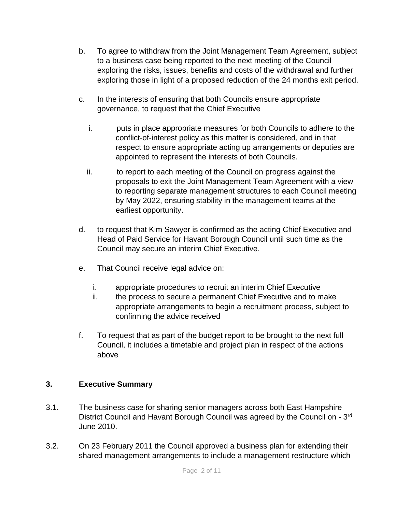- b. To agree to withdraw from the Joint Management Team Agreement, subject to a business case being reported to the next meeting of the Council exploring the risks, issues, benefits and costs of the withdrawal and further exploring those in light of a proposed reduction of the 24 months exit period.
- c. In the interests of ensuring that both Councils ensure appropriate governance, to request that the Chief Executive
	- i. puts in place appropriate measures for both Councils to adhere to the conflict-of-interest policy as this matter is considered, and in that respect to ensure appropriate acting up arrangements or deputies are appointed to represent the interests of both Councils.
	- ii. to report to each meeting of the Council on progress against the proposals to exit the Joint Management Team Agreement with a view to reporting separate management structures to each Council meeting by May 2022, ensuring stability in the management teams at the earliest opportunity.
- d. to request that Kim Sawyer is confirmed as the acting Chief Executive and Head of Paid Service for Havant Borough Council until such time as the Council may secure an interim Chief Executive.
- e. That Council receive legal advice on:
	- i. appropriate procedures to recruit an interim Chief Executive
	- ii. the process to secure a permanent Chief Executive and to make appropriate arrangements to begin a recruitment process, subject to confirming the advice received
- f. To request that as part of the budget report to be brought to the next full Council, it includes a timetable and project plan in respect of the actions above

## **3. Executive Summary**

- 3.1. The business case for sharing senior managers across both East Hampshire District Council and Havant Borough Council was agreed by the Council on - 3<sup>rd</sup> June 2010.
- 3.2. On 23 February 2011 the Council approved a business plan for extending their shared management arrangements to include a management restructure which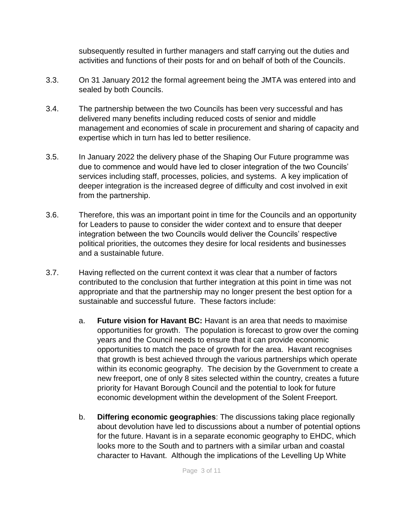subsequently resulted in further managers and staff carrying out the duties and activities and functions of their posts for and on behalf of both of the Councils.

- 3.3. On 31 January 2012 the formal agreement being the JMTA was entered into and sealed by both Councils.
- 3.4. The partnership between the two Councils has been very successful and has delivered many benefits including reduced costs of senior and middle management and economies of scale in procurement and sharing of capacity and expertise which in turn has led to better resilience.
- 3.5. In January 2022 the delivery phase of the Shaping Our Future programme was due to commence and would have led to closer integration of the two Councils' services including staff, processes, policies, and systems. A key implication of deeper integration is the increased degree of difficulty and cost involved in exit from the partnership.
- 3.6. Therefore, this was an important point in time for the Councils and an opportunity for Leaders to pause to consider the wider context and to ensure that deeper integration between the two Councils would deliver the Councils' respective political priorities, the outcomes they desire for local residents and businesses and a sustainable future.
- 3.7. Having reflected on the current context it was clear that a number of factors contributed to the conclusion that further integration at this point in time was not appropriate and that the partnership may no longer present the best option for a sustainable and successful future. These factors include:
	- a. **Future vision for Havant BC:** Havant is an area that needs to maximise opportunities for growth. The population is forecast to grow over the coming years and the Council needs to ensure that it can provide economic opportunities to match the pace of growth for the area. Havant recognises that growth is best achieved through the various partnerships which operate within its economic geography. The decision by the Government to create a new freeport, one of only 8 sites selected within the country, creates a future priority for Havant Borough Council and the potential to look for future economic development within the development of the Solent Freeport.
	- b. **Differing economic geographies**: The discussions taking place regionally about devolution have led to discussions about a number of potential options for the future. Havant is in a separate economic geography to EHDC, which looks more to the South and to partners with a similar urban and coastal character to Havant. Although the implications of the Levelling Up White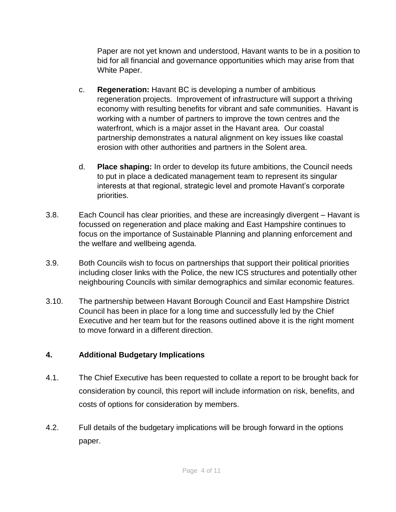Paper are not yet known and understood, Havant wants to be in a position to bid for all financial and governance opportunities which may arise from that White Paper.

- c. **Regeneration:** Havant BC is developing a number of ambitious regeneration projects. Improvement of infrastructure will support a thriving economy with resulting benefits for vibrant and safe communities. Havant is working with a number of partners to improve the town centres and the waterfront, which is a major asset in the Havant area. Our coastal partnership demonstrates a natural alignment on key issues like coastal erosion with other authorities and partners in the Solent area.
- d. **Place shaping:** In order to develop its future ambitions, the Council needs to put in place a dedicated management team to represent its singular interests at that regional, strategic level and promote Havant's corporate priorities.
- 3.8. Each Council has clear priorities, and these are increasingly divergent Havant is focussed on regeneration and place making and East Hampshire continues to focus on the importance of Sustainable Planning and planning enforcement and the welfare and wellbeing agenda.
- 3.9. Both Councils wish to focus on partnerships that support their political priorities including closer links with the Police, the new ICS structures and potentially other neighbouring Councils with similar demographics and similar economic features.
- 3.10. The partnership between Havant Borough Council and East Hampshire District Council has been in place for a long time and successfully led by the Chief Executive and her team but for the reasons outlined above it is the right moment to move forward in a different direction.

## **4. Additional Budgetary Implications**

- 4.1. The Chief Executive has been requested to collate a report to be brought back for consideration by council, this report will include information on risk, benefits, and costs of options for consideration by members.
- 4.2. Full details of the budgetary implications will be brough forward in the options paper.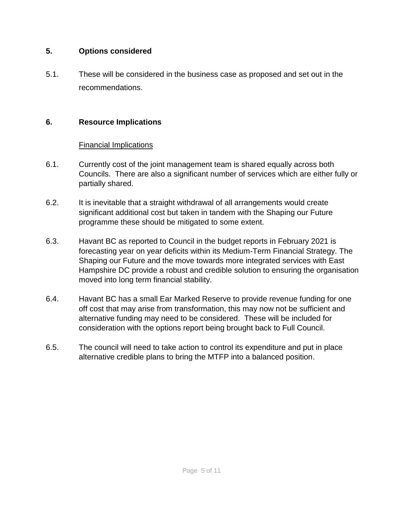#### **5. Options considered**

5.1. These will be considered in the business case as proposed and set out in the recommendations.

## **6. Resource Implications**

## Financial Implications

- 6.1. Currently cost of the joint management team is shared equally across both Councils. There are also a significant number of services which are either fully or partially shared.
- 6.2. It is inevitable that a straight withdrawal of all arrangements would create significant additional cost but taken in tandem with the Shaping our Future programme these should be mitigated to some extent.
- 6.3. Havant BC as reported to Council in the budget reports in February 2021 is forecasting year on year deficits within its Medium-Term Financial Strategy. The Shaping our Future and the move towards more integrated services with East Hampshire DC provide a robust and credible solution to ensuring the organisation moved into long term financial stability.
- 6.4. Havant BC has a small Ear Marked Reserve to provide revenue funding for one off cost that may arise from transformation, this may now not be sufficient and alternative funding may need to be considered. These will be included for consideration with the options report being brought back to Full Council.
- 6.5. The council will need to take action to control its expenditure and put in place alternative credible plans to bring the MTFP into a balanced position.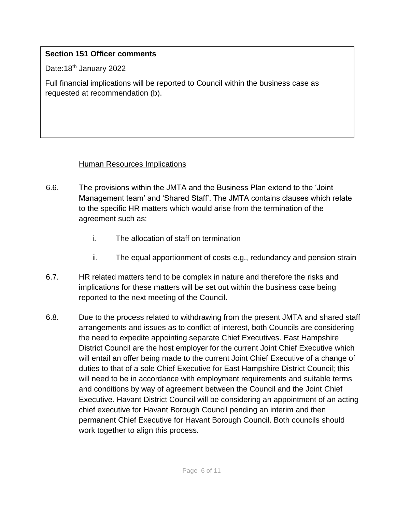### **Section 151 Officer comments**

Date:18<sup>th</sup> January 2022

Full financial implications will be reported to Council within the business case as requested at recommendation (b).

#### Human Resources Implications

- 6.6. The provisions within the JMTA and the Business Plan extend to the 'Joint Management team' and 'Shared Staff'. The JMTA contains clauses which relate to the specific HR matters which would arise from the termination of the agreement such as:
	- i. The allocation of staff on termination
	- ii. The equal apportionment of costs e.g., redundancy and pension strain
- 6.7. HR related matters tend to be complex in nature and therefore the risks and implications for these matters will be set out within the business case being reported to the next meeting of the Council.
- 6.8. Due to the process related to withdrawing from the present JMTA and shared staff arrangements and issues as to conflict of interest, both Councils are considering the need to expedite appointing separate Chief Executives. East Hampshire District Council are the host employer for the current Joint Chief Executive which will entail an offer being made to the current Joint Chief Executive of a change of duties to that of a sole Chief Executive for East Hampshire District Council; this will need to be in accordance with employment requirements and suitable terms and conditions by way of agreement between the Council and the Joint Chief Executive. Havant District Council will be considering an appointment of an acting chief executive for Havant Borough Council pending an interim and then permanent Chief Executive for Havant Borough Council. Both councils should work together to align this process.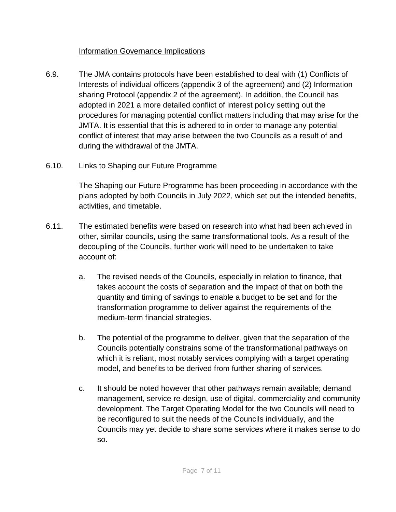### Information Governance Implications

- 6.9. The JMA contains protocols have been established to deal with (1) Conflicts of Interests of individual officers (appendix 3 of the agreement) and (2) Information sharing Protocol (appendix 2 of the agreement). In addition, the Council has adopted in 2021 a more detailed conflict of interest policy setting out the procedures for managing potential conflict matters including that may arise for the JMTA. It is essential that this is adhered to in order to manage any potential conflict of interest that may arise between the two Councils as a result of and during the withdrawal of the JMTA.
- 6.10. Links to Shaping our Future Programme

The Shaping our Future Programme has been proceeding in accordance with the plans adopted by both Councils in July 2022, which set out the intended benefits, activities, and timetable.

- 6.11. The estimated benefits were based on research into what had been achieved in other, similar councils, using the same transformational tools. As a result of the decoupling of the Councils, further work will need to be undertaken to take account of:
	- a. The revised needs of the Councils, especially in relation to finance, that takes account the costs of separation and the impact of that on both the quantity and timing of savings to enable a budget to be set and for the transformation programme to deliver against the requirements of the medium-term financial strategies.
	- b. The potential of the programme to deliver, given that the separation of the Councils potentially constrains some of the transformational pathways on which it is reliant, most notably services complying with a target operating model, and benefits to be derived from further sharing of services.
	- c. It should be noted however that other pathways remain available; demand management, service re-design, use of digital, commerciality and community development. The Target Operating Model for the two Councils will need to be reconfigured to suit the needs of the Councils individually, and the Councils may yet decide to share some services where it makes sense to do so.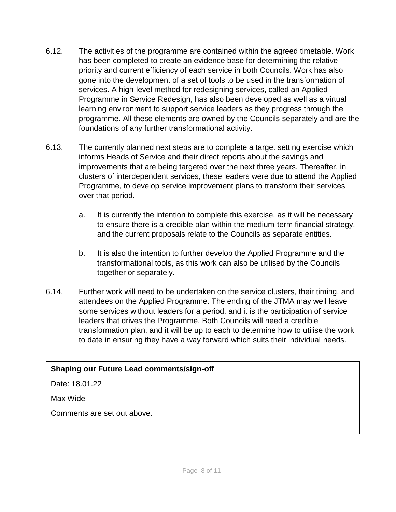- 6.12. The activities of the programme are contained within the agreed timetable. Work has been completed to create an evidence base for determining the relative priority and current efficiency of each service in both Councils. Work has also gone into the development of a set of tools to be used in the transformation of services. A high-level method for redesigning services, called an Applied Programme in Service Redesign, has also been developed as well as a virtual learning environment to support service leaders as they progress through the programme. All these elements are owned by the Councils separately and are the foundations of any further transformational activity.
- 6.13. The currently planned next steps are to complete a target setting exercise which informs Heads of Service and their direct reports about the savings and improvements that are being targeted over the next three years. Thereafter, in clusters of interdependent services, these leaders were due to attend the Applied Programme, to develop service improvement plans to transform their services over that period.
	- a. It is currently the intention to complete this exercise, as it will be necessary to ensure there is a credible plan within the medium-term financial strategy, and the current proposals relate to the Councils as separate entities.
	- b. It is also the intention to further develop the Applied Programme and the transformational tools, as this work can also be utilised by the Councils together or separately.
- 6.14. Further work will need to be undertaken on the service clusters, their timing, and attendees on the Applied Programme. The ending of the JTMA may well leave some services without leaders for a period, and it is the participation of service leaders that drives the Programme. Both Councils will need a credible transformation plan, and it will be up to each to determine how to utilise the work to date in ensuring they have a way forward which suits their individual needs.

#### **Shaping our Future Lead comments/sign-off**

Date: 18.01.22

Max Wide

Comments are set out above.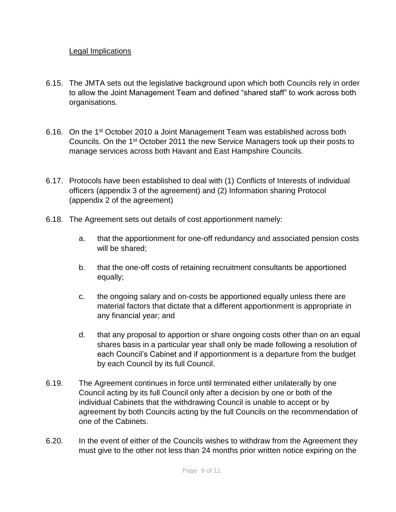#### Legal Implications

- 6.15. The JMTA sets out the legislative background upon which both Councils rely in order to allow the Joint Management Team and defined "shared staff" to work across both organisations.
- 6.16. On the 1<sup>st</sup> October 2010 a Joint Management Team was established across both Councils. On the 1st October 2011 the new Service Managers took up their posts to manage services across both Havant and East Hampshire Councils.
- 6.17. Protocols have been established to deal with (1) Conflicts of Interests of individual officers (appendix 3 of the agreement) and (2) Information sharing Protocol (appendix 2 of the agreement)
- 6.18. The Agreement sets out details of cost apportionment namely:
	- a. that the apportionment for one-off redundancy and associated pension costs will be shared;
	- b. that the one-off costs of retaining recruitment consultants be apportioned equally;
	- c. the ongoing salary and on-costs be apportioned equally unless there are material factors that dictate that a different apportionment is appropriate in any financial year; and
	- d. that any proposal to apportion or share ongoing costs other than on an equal shares basis in a particular year shall only be made following a resolution of each Council's Cabinet and if apportionment is a departure from the budget by each Council by its full Council.
- 6.19. The Agreement continues in force until terminated either unilaterally by one Council acting by its full Council only after a decision by one or both of the individual Cabinets that the withdrawing Council is unable to accept or by agreement by both Councils acting by the full Councils on the recommendation of one of the Cabinets.
- 6.20. In the event of either of the Councils wishes to withdraw from the Agreement they must give to the other not less than 24 months prior written notice expiring on the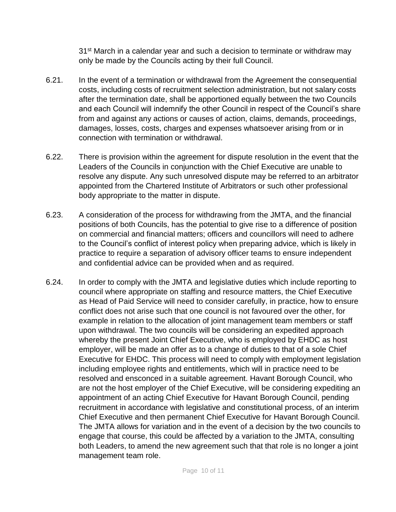31<sup>st</sup> March in a calendar year and such a decision to terminate or withdraw may only be made by the Councils acting by their full Council.

- 6.21. In the event of a termination or withdrawal from the Agreement the consequential costs, including costs of recruitment selection administration, but not salary costs after the termination date, shall be apportioned equally between the two Councils and each Council will indemnify the other Council in respect of the Council's share from and against any actions or causes of action, claims, demands, proceedings, damages, losses, costs, charges and expenses whatsoever arising from or in connection with termination or withdrawal.
- 6.22. There is provision within the agreement for dispute resolution in the event that the Leaders of the Councils in conjunction with the Chief Executive are unable to resolve any dispute. Any such unresolved dispute may be referred to an arbitrator appointed from the Chartered Institute of Arbitrators or such other professional body appropriate to the matter in dispute.
- 6.23. A consideration of the process for withdrawing from the JMTA, and the financial positions of both Councils, has the potential to give rise to a difference of position on commercial and financial matters; officers and councillors will need to adhere to the Council's conflict of interest policy when preparing advice, which is likely in practice to require a separation of advisory officer teams to ensure independent and confidential advice can be provided when and as required.
- 6.24. In order to comply with the JMTA and legislative duties which include reporting to council where appropriate on staffing and resource matters, the Chief Executive as Head of Paid Service will need to consider carefully, in practice, how to ensure conflict does not arise such that one council is not favoured over the other, for example in relation to the allocation of joint management team members or staff upon withdrawal. The two councils will be considering an expedited approach whereby the present Joint Chief Executive, who is employed by EHDC as host employer, will be made an offer as to a change of duties to that of a sole Chief Executive for EHDC. This process will need to comply with employment legislation including employee rights and entitlements, which will in practice need to be resolved and ensconced in a suitable agreement. Havant Borough Council, who are not the host employer of the Chief Executive, will be considering expediting an appointment of an acting Chief Executive for Havant Borough Council, pending recruitment in accordance with legislative and constitutional process, of an interim Chief Executive and then permanent Chief Executive for Havant Borough Council. The JMTA allows for variation and in the event of a decision by the two councils to engage that course, this could be affected by a variation to the JMTA, consulting both Leaders, to amend the new agreement such that that role is no longer a joint management team role.